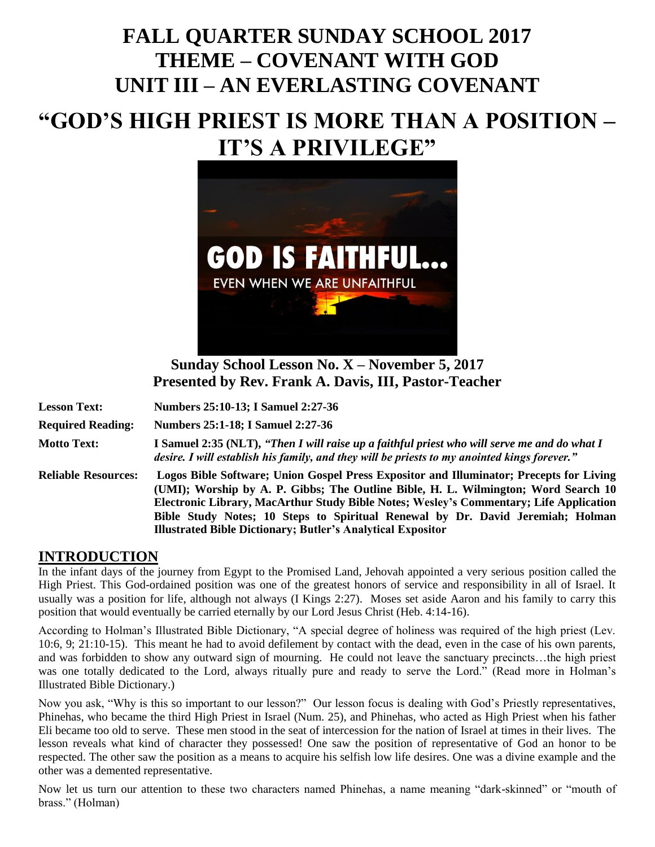# **FALL QUARTER SUNDAY SCHOOL 2017 THEME – COVENANT WITH GOD UNIT III – AN EVERLASTING COVENANT**

# **"GOD'S HIGH PRIEST IS MORE THAN A POSITION – IT'S A PRIVILEGE"**



**Sunday School Lesson No. X – November 5, 2017 Presented by Rev. Frank A. Davis, III, Pastor-Teacher**

| <b>Lesson Text:</b>        | Numbers 25:10-13; I Samuel 2:27-36                                                                                                                                                                                                                                                                                                                                                                                              |
|----------------------------|---------------------------------------------------------------------------------------------------------------------------------------------------------------------------------------------------------------------------------------------------------------------------------------------------------------------------------------------------------------------------------------------------------------------------------|
| <b>Required Reading:</b>   | Numbers 25:1-18; I Samuel 2:27-36                                                                                                                                                                                                                                                                                                                                                                                               |
| <b>Motto Text:</b>         | I Samuel 2:35 (NLT), "Then I will raise up a faithful priest who will serve me and do what I<br>desire. I will establish his family, and they will be priests to my anointed kings forever."                                                                                                                                                                                                                                    |
| <b>Reliable Resources:</b> | Logos Bible Software; Union Gospel Press Expositor and Illuminator; Precepts for Living<br>(UMI); Worship by A. P. Gibbs; The Outline Bible, H. L. Wilmington; Word Search 10<br>Electronic Library, MacArthur Study Bible Notes; Wesley's Commentary; Life Application<br>Bible Study Notes; 10 Steps to Spiritual Renewal by Dr. David Jeremiah; Holman<br><b>Illustrated Bible Dictionary; Butler's Analytical Expositor</b> |

### **INTRODUCTION**

In the infant days of the journey from Egypt to the Promised Land, Jehovah appointed a very serious position called the High Priest. This God-ordained position was one of the greatest honors of service and responsibility in all of Israel. It usually was a position for life, although not always (I Kings 2:27). Moses set aside Aaron and his family to carry this position that would eventually be carried eternally by our Lord Jesus Christ (Heb. 4:14-16).

According to Holman's Illustrated Bible Dictionary, "A special degree of holiness was required of the high priest (Lev. 10:6, 9; 21:10-15). This meant he had to avoid defilement by contact with the dead, even in the case of his own parents, and was forbidden to show any outward sign of mourning. He could not leave the sanctuary precincts…the high priest was one totally dedicated to the Lord, always ritually pure and ready to serve the Lord." (Read more in Holman's Illustrated Bible Dictionary.)

Now you ask, "Why is this so important to our lesson?" Our lesson focus is dealing with God's Priestly representatives, Phinehas, who became the third High Priest in Israel (Num. 25), and Phinehas, who acted as High Priest when his father Eli became too old to serve. These men stood in the seat of intercession for the nation of Israel at times in their lives. The lesson reveals what kind of character they possessed! One saw the position of representative of God an honor to be respected. The other saw the position as a means to acquire his selfish low life desires. One was a divine example and the other was a demented representative.

Now let us turn our attention to these two characters named Phinehas, a name meaning "dark-skinned" or "mouth of brass." (Holman)